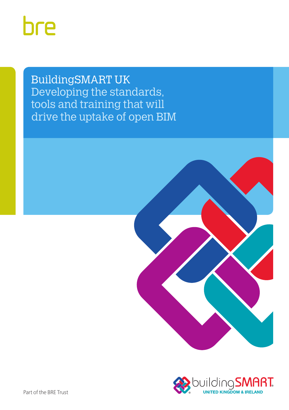# bre

BuildingSMART UK Developing the standards, tools and training that will drive the uptake of open BIM



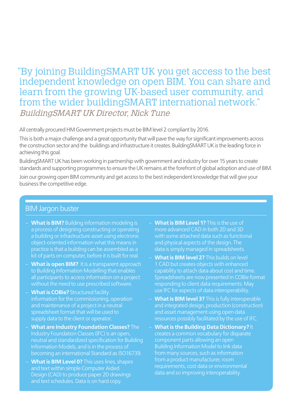# "By joining BuildingSMART UK you get access to the best independent knowledge on open BIM. You can share and learn from the growing UK-based user community, and from the wider buildingSMART international network." BuildingSMART UK Director, Nick Tune

All centrally procured HM Government projects must be BIM level 2 compliant by 2016.

This is both a major challenge and a great opportunity that will pave the way for significant improvements across the construction sector and the buildings and infrastructure it creates. BuildingSMART UK is the leading force in achieving this goal.

BuildingSMART UK has been working in partnership with government and industry for over 15 years to create standards and supporting programmes to ensure the UK remains at the forefront of global adoption and use of BIM.

Join our growing open BIM community and get access to the best independent knowledge that will give your business the competitive edge.

#### BIM Jargon buster

- **What is BIM?** Building information modeling is a process of designing constructing or operating a building or infrastructure asset using electronic object-oriented information what this means in practice is that a building can be assembled as a kit of parts on computer, before it is built for real.
- **What is open BIM?** It is a transparent approach to Building Information Modelling that enables all participants to access information on a project without the need to use prescribed software.
- **What is COBie?** Structured facility information for the commissioning, operation and maintenance of a project in a neutral spreadsheet format that will be used to supply data to the client or operator.
- **What are Industry Foundation Classes?** The Industry Foundation Classes (IFC) is an open, neutral and standardized specification for Building Information Models, and is in the process of becoming an international Standard as ISO16739.
- **What is BIM Level 0?** This uses lines, shapes Design (CAD) to produce paper 2D drawings
- **What is BIM Level 1?** This is the use of more advanced CAD in both 2D and 3D with some attached data such as functional and physical aspects of the design. The data is simply managed in spreadsheets.
- **What is BIM level 2?** This builds on level 1 CAD but creates objects with enhanced capability to attach data about cost and time. Spreadsheets are now presented in COBie format responding to client data requirements. May use IFC for aspects of data interoperability.
- **What is BIM level 3?** This is fully interoperable and integrated design, production (construction) and asset management using open data resources possibly facilitated by the use of IFC.
- **What is the Building Data Dictionary?** It creates a common vocabulary for disparate component parts allowing an open Building Information Model to link data from many sources, such as information requirements, cost data or environmental data and so improving interoperability.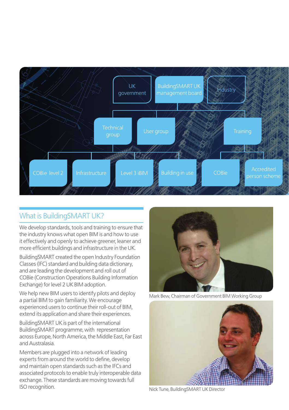

### What is BuildingSMART UK?

We develop standards, tools and training to ensure that the industry knows what open BIM is and how to use it effectively and openly to achieve greener, leaner and more efficient buildings and infrastructure in the UK.

BuildingSMART created the open Industry Foundation Classes (IFC) standard and building data dictionary, and are leading the development and roll out of COBie (Construction Operations Building Information Exchange) for level 2 UK BIM adoption.

We help new BIM users to identify pilots and deploy a partial BIM to gain familiarity. We encourage experienced users to continue their roll-out of BIM, extend its application and share their experiences.

BuildingSMART UK is part of the international BuildingSMART programme, with representation across Europe, North America, the Middle East, Far East and Australasia.

Members are plugged into a network of leading experts from around the world to define, develop and maintain open standards such as the IFCs and associated protocols to enable truly interoperable data exchange. These standards are moving towards full ISO recognition.



Mark Bew, Chairman of Government BIM Working Group



Nick Tune, BuildingSMART UK Director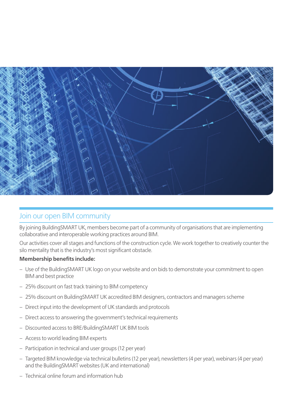

#### Join our open BIM community

By joining BuildingSMART UK, members become part of a community of organisations that are implementing collaborative and interoperable working practices around BIM.

Our activities cover all stages and functions of the construction cycle. We work together to creatively counter the silo mentality that is the industry's most significant obstacle.

#### **Membership benefits include:**

- Use of the BuildingSMART UK logo on your website and on bids to demonstrate your commitment to open BIM and best practice
- 25% discount on fast track training to BIM competency
- 25% discount on BuildingSMART UK accredited BIM designers, contractors and managers scheme
- Direct input into the development of UK standards and protocols
- Direct access to answering the government's technical requirements
- Discounted access to BRE/BuildingSMART UK BIM tools
- Access to world leading BIM experts
- Participation in technical and user groups (12 per year)
- Targeted BIM knowledge via technical bulletins (12 per year), newsletters (4 per year), webinars (4 per year) and the BuildingSMART websites (UK and international)
- Technical online forum and information hub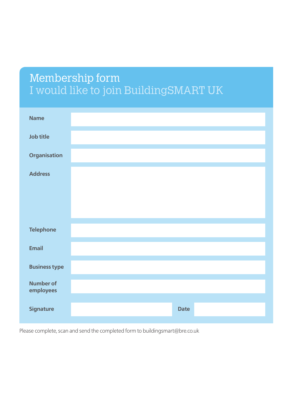# Membership form I would like to join BuildingSMART UK

| <b>Name</b>            |  |             |  |
|------------------------|--|-------------|--|
| Job title              |  |             |  |
| Organisation           |  |             |  |
| <b>Address</b>         |  |             |  |
|                        |  |             |  |
|                        |  |             |  |
| <b>Telephone</b>       |  |             |  |
| Email                  |  |             |  |
| <b>Business type</b>   |  |             |  |
| Number of<br>employees |  |             |  |
| <b>Signature</b>       |  | <b>Date</b> |  |

Please complete, scan and send the completed form to buildingsmart@bre.co.uk